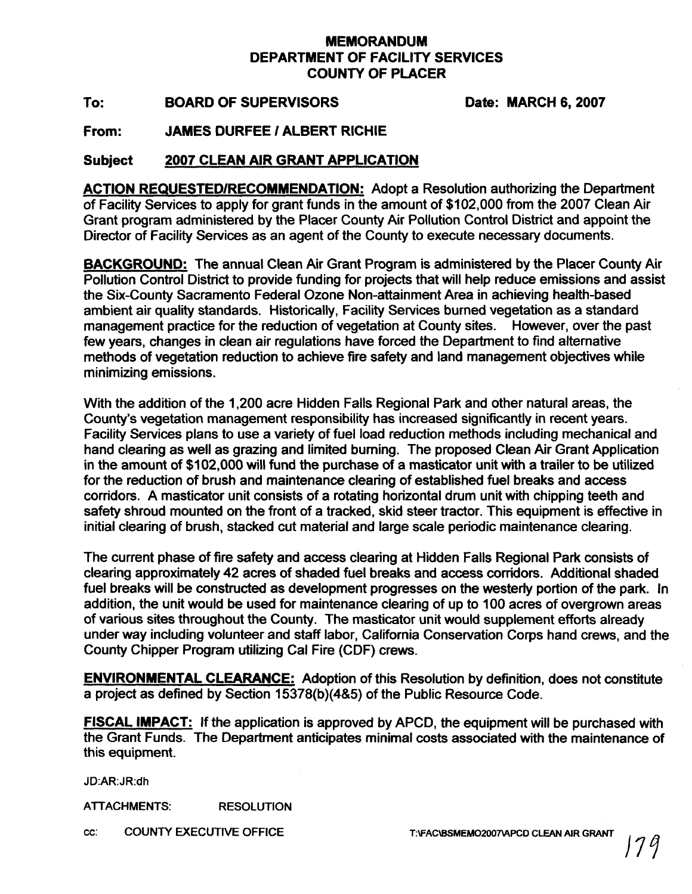## **MEMORANDUM DEPARTMENT OF FACILITY SERVICES COUNTY OF PLACER**

To: BOARD OF SUPERVISORS Date: MARCH 6, 2007

From: JAMES DURFEE / ALBERT RICHIE

## **Subject 2007 CLEAN AIR GRANT APPLICATION**

**ACTION REQUESTEDIRECOMMENDATION:** Adopt a Resolution authorizing the Department of Facility Services to apply for grant funds in the amount of \$102,000 from the 2007 Clean Air Grant program administered by the Placer County Air Pollution Control District and appoint the Director of Facility Services as an agent of the County to execute necessary documents.

**BACKGROUND:** The annual Clean Air Grant Program is administered by the Placer County Air Pollution Control District to provide funding for projects that will help reduce emissions and assist the Six-County Sacramento Federal Ozone Non-attainment Area in achieving health-based ambient air quality standards. Historically, Facility Services burned vegetation as a standard management practice for the reduction of vegetation at County sites. However, over the past few years, changes in clean air regulations have forced the Department to find alternative methods of vegetation reduction to achieve fire safety and land management objectives while minimizing emissions.

With the addition of the 1,200 acre Hidden Falls Regional Park and other natural areas, the County's vegetation management responsibility has increased significantly in recent years. Facility Services plans to use a variety of fuel load reduction methods including mechanical and hand clearing as well as grazing and limited burning. The proposed Clean Air Grant Application in the amount of \$102,000 will fund the purchase of a masticator unit with a trailer to be utilized for the reduction of brush and maintenance clearing of established fuel breaks and access corridors. A masticator unit consists of a rotating horizontal drum unit with chipping teeth and safety shroud mounted on the front of a tracked, skid steer tractor. This equipment is effective in initial clearing of brush, stacked cut material and large scale periodic maintenance clearing.

The current phase of fire safety and access clearing at Hidden Falls Regional Park consists of clearing approximately 42 acres of shaded fuel breaks and access corridors. Additional shaded fuel breaks will be constructed as development progresses on the westerly portion of the park. In addition, the unit would be used for maintenance clearing of up to 100 acres of overgrown areas of various sites throughout the County. The masticator unit would supplement efforts already under way including volunteer and staff labor, California Conservation Corps hand crews, and the County Chipper Program utilizing Cal Fire (CDF) crews.

**ENVIRONMENTAL CLEARANCE:** Adoption of this Resolution by definition, does not constitute a project as defined by Section 15378(b)(4&5) of the Public Resource Code.

**FISCAL IMPACT:** If the application is approved by APCD, the equipment will be purchased with the Grant Funds. The Department anticipates minimal costs associated with the maintenance of this equipment.

JD:AR:JR:dh

**ATTACHMENTS: RESOLUTION** 

**cc: COUNTY EXECUTIVE OFFICE T:\FAC\BSMEM02007\APCD CLEAN AIR GRANT**